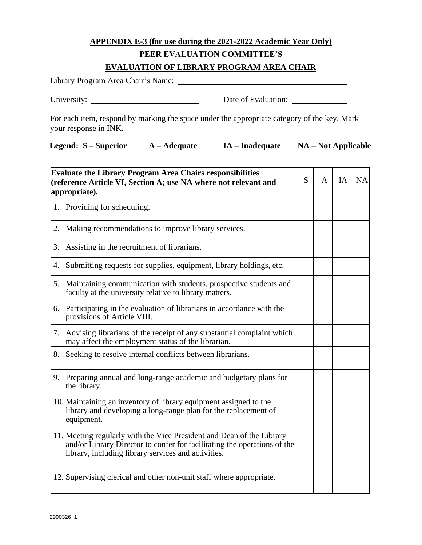## **APPENDIX E-3 (for use during the 2021-2022 Academic Year Only)**

## **PEER EVALUATION COMMITTEE'S**

## **EVALUATION OF LIBRARY PROGRAM AREA CHAIR**

| Library Program Area Chair's Name: |                     |
|------------------------------------|---------------------|
| University:                        | Date of Evaluation: |

For each item, respond by marking the space under the appropriate category of the key. Mark your response in INK.

|  | Legend: S – Superior | $A - Adequate$ | IA – Inadequate | <b>NA</b> – Not Applicable |
|--|----------------------|----------------|-----------------|----------------------------|
|--|----------------------|----------------|-----------------|----------------------------|

| <b>Evaluate the Library Program Area Chairs responsibilities</b><br>(reference Article VI, Section A; use NA where not relevant and<br>appropriate). |                                                                                                                                                                                                          | S | A | IA | <b>NA</b> |
|------------------------------------------------------------------------------------------------------------------------------------------------------|----------------------------------------------------------------------------------------------------------------------------------------------------------------------------------------------------------|---|---|----|-----------|
|                                                                                                                                                      | 1. Providing for scheduling.                                                                                                                                                                             |   |   |    |           |
|                                                                                                                                                      | 2. Making recommendations to improve library services.                                                                                                                                                   |   |   |    |           |
|                                                                                                                                                      | 3. Assisting in the recruitment of librarians.                                                                                                                                                           |   |   |    |           |
|                                                                                                                                                      | 4. Submitting requests for supplies, equipment, library holdings, etc.                                                                                                                                   |   |   |    |           |
|                                                                                                                                                      | 5. Maintaining communication with students, prospective students and<br>faculty at the university relative to library matters.                                                                           |   |   |    |           |
|                                                                                                                                                      | 6. Participating in the evaluation of librarians in accordance with the<br>provisions of Article VIII.                                                                                                   |   |   |    |           |
|                                                                                                                                                      | 7. Advising librarians of the receipt of any substantial complaint which<br>may affect the employment status of the librarian.                                                                           |   |   |    |           |
| 8.                                                                                                                                                   | Seeking to resolve internal conflicts between librarians.                                                                                                                                                |   |   |    |           |
|                                                                                                                                                      | 9. Preparing annual and long-range academic and budgetary plans for<br>the library.                                                                                                                      |   |   |    |           |
|                                                                                                                                                      | 10. Maintaining an inventory of library equipment assigned to the<br>library and developing a long-range plan for the replacement of<br>equipment.                                                       |   |   |    |           |
|                                                                                                                                                      | 11. Meeting regularly with the Vice President and Dean of the Library<br>and/or Library Director to confer for facilitating the operations of the<br>library, including library services and activities. |   |   |    |           |
|                                                                                                                                                      | 12. Supervising clerical and other non-unit staff where appropriate.                                                                                                                                     |   |   |    |           |